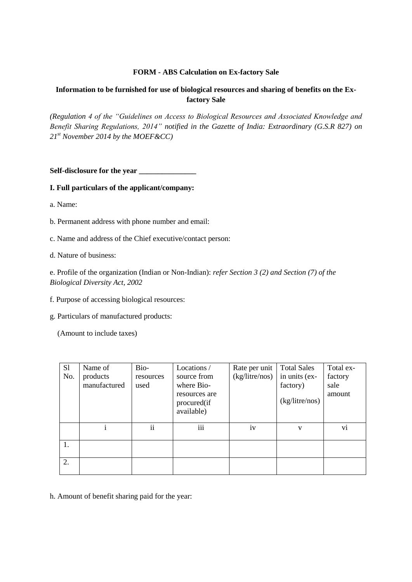## **FORM - ABS Calculation on Ex-factory Sale**

# **Information to be furnished for use of biological resources and sharing of benefits on the Exfactory Sale**

*(Regulation 4 of the "Guidelines on Access to Biological Resources and Associated Knowledge and Benefit Sharing Regulations, 2014" notified in the Gazette of India: Extraordinary (G.S.R 827) on 21st November 2014 by the MOEF&CC)*

**Self-disclosure for the year \_\_\_\_\_\_\_\_\_\_\_\_\_\_\_**

#### **I. Full particulars of the applicant/company:**

- a. Name:
- b. Permanent address with phone number and email:
- c. Name and address of the Chief executive/contact person:
- d. Nature of business:

e. Profile of the organization (Indian or Non-Indian): *refer Section 3 (2) and Section (7) of the Biological Diversity Act, 2002*

- f. Purpose of accessing biological resources:
- g. Particulars of manufactured products:

(Amount to include taxes)

| S <sub>1</sub> | Name of      | Bio-      | Locations /                                | Rate per unit  | <b>Total Sales</b> | Total ex- |
|----------------|--------------|-----------|--------------------------------------------|----------------|--------------------|-----------|
| No.            | products     | resources | source from                                | (kg/litre/nos) | in units (ex-      | factory   |
|                | manufactured | used      | where Bio-                                 |                | factory)           | sale      |
|                |              |           | resources are<br>procured(if<br>available) |                | (kg/litre/nos)     | amount    |
|                | i            | ii        | iii                                        | iv             | V                  | vi        |
| 1.             |              |           |                                            |                |                    |           |
| 2.             |              |           |                                            |                |                    |           |

h. Amount of benefit sharing paid for the year: